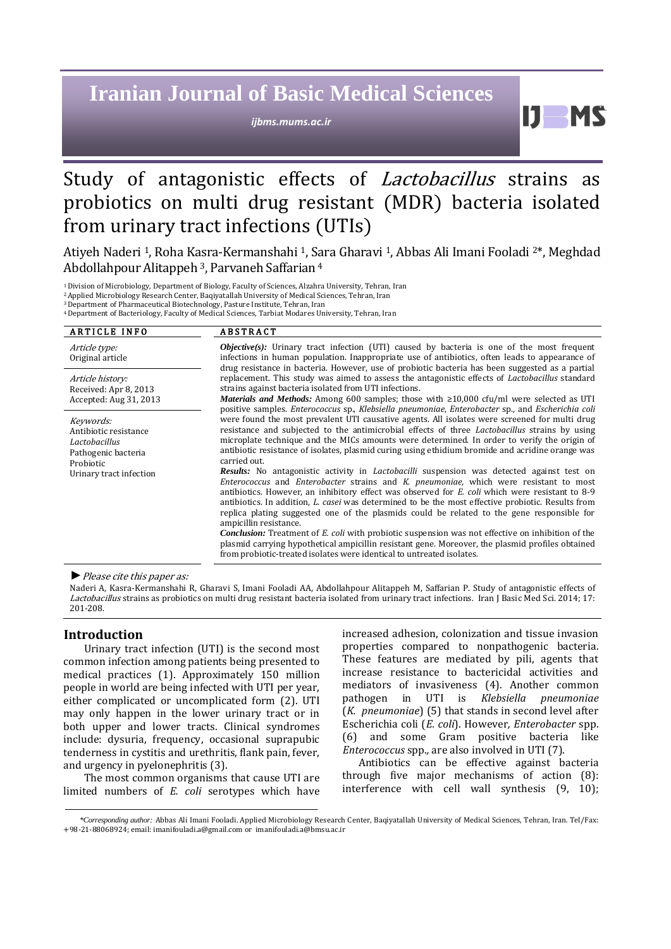# **Iranian Journal of Basic Medical Sciences**

*ijbms.mums.ac.ir*

61

## Study of antagonistic effects of Lactobacillus strains as probiotics on multi drug resistant (MDR) bacteria isolated from urinary tract infections (UTIs)

Atiyeh Naderi 1, Roha Kasra-Kermanshahi 1, Sara Gharavi 1, Abbas Ali Imani Fooladi 2\*, Meghdad Abdollahpour Alitappeh<sup>3</sup>, Parvaneh Saffarian<sup>4</sup>

<sup>1</sup>Division of Microbiology, Department of Biology, Faculty of Sciences, Alzahra University, Tehran, Iran

<sup>2</sup>Applied Microbiology Research Center, Baqiyatallah University of Medical Sciences, Tehran, Iran

<sup>3</sup>Department of Pharmaceutical Biotechnology, Pasture Institute, Tehran, Iran

<sup>4</sup>Department of Bacteriology, Faculty of Medical Sciences, Tarbiat Modares University, Tehran, Iran

| <b>ARTICLE INFO</b>                                                                                                | <b>ABSTRACT</b>                                                                                                                                                                                                                                                                                                                                                                                                                                                                                                                                                                                                                                                                                                                                                                                                                                                                                                                                                                                                                                                                                                                                                                                                                                                                                                                                                           |
|--------------------------------------------------------------------------------------------------------------------|---------------------------------------------------------------------------------------------------------------------------------------------------------------------------------------------------------------------------------------------------------------------------------------------------------------------------------------------------------------------------------------------------------------------------------------------------------------------------------------------------------------------------------------------------------------------------------------------------------------------------------------------------------------------------------------------------------------------------------------------------------------------------------------------------------------------------------------------------------------------------------------------------------------------------------------------------------------------------------------------------------------------------------------------------------------------------------------------------------------------------------------------------------------------------------------------------------------------------------------------------------------------------------------------------------------------------------------------------------------------------|
| Article type:<br>Original article                                                                                  | <b><i>Objective(s)</i></b> : Urinary tract infection (UTI) caused by bacteria is one of the most frequent<br>infections in human population. Inappropriate use of antibiotics, often leads to appearance of<br>drug resistance in bacteria. However, use of probiotic bacteria has been suggested as a partial                                                                                                                                                                                                                                                                                                                                                                                                                                                                                                                                                                                                                                                                                                                                                                                                                                                                                                                                                                                                                                                            |
| Article history:<br>Received: Apr 8, 2013<br>Accepted: Aug 31, 2013                                                | replacement. This study was aimed to assess the antagonistic effects of <i>Lactobacillus</i> standard<br>strains against bacteria isolated from UTI infections.<br><b>Materials and Methods:</b> Among 600 samples; those with $\geq 10,000$ cfu/ml were selected as UTI                                                                                                                                                                                                                                                                                                                                                                                                                                                                                                                                                                                                                                                                                                                                                                                                                                                                                                                                                                                                                                                                                                  |
| Keywords:<br>Antibiotic resistance<br>Lactobacillus<br>Pathogenic bacteria<br>Probiotic<br>Urinary tract infection | positive samples. Enterococcus sp., Klebsiella pneumoniae, Enterobacter sp., and Escherichia coli<br>were found the most prevalent UTI causative agents. All isolates were screened for multi drug<br>resistance and subjected to the antimicrobial effects of three <i>Lactobacillus</i> strains by using<br>microplate technique and the MICs amounts were determined. In order to verify the origin of<br>antibiotic resistance of isolates, plasmid curing using ethidium bromide and acridine orange was<br>carried out.<br><b>Results:</b> No antagonistic activity in <i>Lactobacilli</i> suspension was detected against test on<br>Enterococcus and Enterobacter strains and K. pneumoniae, which were resistant to most<br>antibiotics. However, an inhibitory effect was observed for <i>E. coli</i> which were resistant to 8-9<br>antibiotics. In addition, <i>L. casei</i> was determined to be the most effective probiotic. Results from<br>replica plating suggested one of the plasmids could be related to the gene responsible for<br>ampicillin resistance.<br><b>Conclusion:</b> Treatment of E. coli with probiotic suspension was not effective on inhibition of the<br>plasmid carrying hypothetical ampicillin resistant gene. Moreover, the plasmid profiles obtained<br>from probiotic-treated isolates were identical to untreated isolates. |

*►*Please cite this paper as:

Naderi A, Kasra-Kermanshahi R, Gharavi S, Imani Fooladi AA, Abdollahpour Alitappeh M, Saffarian P. Study of antagonistic effects of Lactobacillus strains as probiotics on multi drug resistant bacteria isolated from urinary tract infections. Iran J Basic Med Sci. 2014; 17: 201-208.

## **Introduction**

Urinary tract infection (UTI) is the second most common infection among patients being presented to medical practices [\(1\)](#page-6-0). Approximately 150 million people in world are being infected with UTI per year, either complicated or uncomplicated form [\(2\)](#page-6-1). UTI may only happen in the lower urinary tract or in both upper and lower tracts. Clinical syndromes include: dysuria, frequency, occasional suprapubic tenderness in cystitis and urethritis, flank pain, fever, and urgency in pyelonephritis [\(3\)](#page-6-2).

The most common organisms that cause UTI are limited numbers of *E. coli* serotypes which have increased adhesion, colonization and tissue invasion properties compared to nonpathogenic bacteria. These features are mediated by pili, agents that increase resistance to bactericidal activities and mediators of invasiveness [\(4\)](#page-6-3). Another common pathogen in UTI is *Klebsiella pneumoniae*  (*K. pneumoniae*) [\(5\)](#page-6-4) that stands in second level after Escherichia coli (*E. coli*). However*, Enterobacter* spp. [\(6\)](#page-6-5) and some Gram positive bacteria like *Enterococcus* spp.*,* are also involved in UTI [\(7\)](#page-6-6).

Antibiotics can be effective against bacteria through five major mechanisms of action [\(8\)](#page-7-0): interference with cell wall synthesis [\(9,](#page-7-1) [10\)](#page-7-2);

*<sup>\*</sup>Corresponding author:* Abbas Ali Imani Fooladi. Applied Microbiology Research Center, Baqiyatallah University of Medical Sciences, Tehran, Iran. Tel/Fax: +98-21-88068924; email[: imanifouladi.a@gmail.com](mailto:imanifouladi.a@gmail.com) or imanifouladi.a@bmsu.ac.ir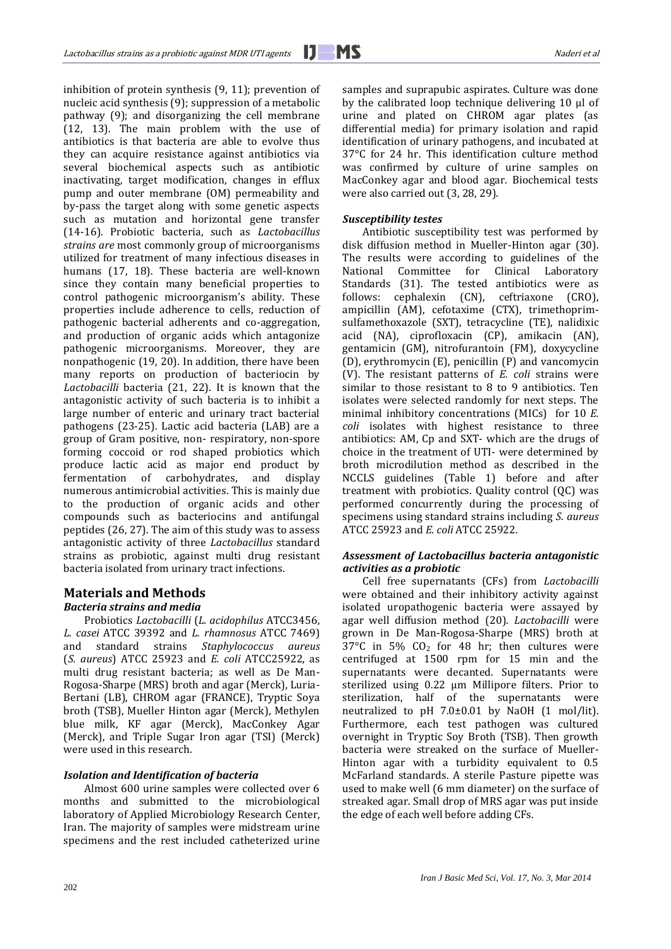inhibition of protein synthesis [\(9,](#page-7-1) [11\)](#page-7-3); prevention of nucleic acid synthesis [\(9\)](#page-7-1); suppression of a metabolic pathway [\(9\)](#page-7-1); and disorganizing the cell membrane [\(12,](#page-7-4) [13\)](#page-7-5). The main problem with the use of antibiotics is that bacteria are able to evolve thus they can acquire resistance against antibiotics via several biochemical aspects such as antibiotic inactivating, target modification, changes in efflux pump and outer membrane (OM) permeability and by-pass the target along with some genetic aspects such as mutation and horizontal gene transfer [\(14-16\)](#page-7-6). Probiotic bacteria, such as *Lactobacillus strains are* most commonly group of microorganisms utilized for treatment of many infectious diseases in humans [\(17,](#page-7-7) [18\)](#page-7-8). These bacteria are well-known since they contain many beneficial properties to control pathogenic microorganism's ability. These properties include adherence to cells, reduction of pathogenic bacterial adherents and co-aggregation, and production of organic acids which antagonize pathogenic microorganisms. Moreover, they are nonpathogenic [\(19,](#page-7-9) [20\)](#page-7-10). In addition, there have been many reports on production of bacteriocin by *Lactobacilli* bacteria [\(21,](#page-7-11) [22\)](#page-7-12). It is known that the antagonistic activity of such bacteria is to inhibit a large number of enteric and urinary tract bacterial pathogens [\(23-25\)](#page-7-13). Lactic acid bacteria (LAB) are a group of Gram positive, non- respiratory, non-spore forming coccoid or rod shaped probiotics which produce lactic acid as major end product by fermentation of carbohydrates, and display numerous antimicrobial activities. This is mainly due to the production of organic acids and other compounds such as bacteriocins and antifungal peptides [\(26,](#page-7-14) [27\)](#page-7-15). The aim of this study was to assess antagonistic activity of three *Lactobacillus* standard strains as probiotic, against multi drug resistant bacteria isolated from urinary tract infections.

#### **Materials and Methods** *Bacteria strains and media*

Probiotics *Lactobacilli* (*L. acidophilus* ATCC3456, *L. casei* ATCC 39392 and *L. rhamnosus* ATCC 7469) and standard strains *Staphylococcus aureus*  (*S. aureus*) ATCC 25923 and *E. coli* ATCC25922, as multi drug resistant bacteria; as well as De Man-Rogosa-Sharpe (MRS) broth and agar (Merck), Luria-Bertani (LB), CHROM agar (FRANCE), Tryptic Soya broth (TSB), Mueller Hinton agar (Merck), Methylen blue milk, KF agar (Merck), MacConkey Agar (Merck), and Triple Sugar Iron agar (TSI) (Merck) were used in this research.

## *Isolation and Identification of bacteria*

Almost 600 urine samples were collected over 6 months and submitted to the microbiological laboratory of Applied Microbiology Research Center, Iran. The majority of samples were midstream urine specimens and the rest included catheterized urine samples and suprapubic aspirates. Culture was done by the calibrated loop technique delivering 10 µl of urine and plated on CHROM agar plates (as differential media) for primary isolation and rapid identification of urinary pathogens, and incubated at 37°C for 24 hr. This identification culture method was confirmed by culture of urine samples on MacConkey agar and blood agar. Biochemical tests were also carried out [\(3,](#page-6-2) [28,](#page-7-16) [29\)](#page-7-17).

## *Susceptibility testes*

Antibiotic susceptibility test was performed by disk diffusion method in Mueller-Hinton agar [\(30\)](#page-7-18). The results were according to guidelines of the National Committee for Clinical Laboratory Standards [\(31\)](#page-7-19). The tested antibiotics were as follows: cephalexin (CN), ceftriaxone (CRO), ampicillin (AM), cefotaxime (CTX), trimethoprimsulfamethoxazole (SXT), tetracycline (TE), nalidixic acid (NA), ciprofloxacin (CP), amikacin (AN), gentamicin (GM), nitrofurantoin (FM), doxycycline (D), erythromycin (E), penicillin (P) and vancomycin (V). The resistant patterns of *E. coli* strains were similar to those resistant to 8 to 9 antibiotics. Ten isolates were selected randomly for next steps. The minimal inhibitory concentrations (MICs) for 10 *E. coli* isolates with highest resistance to three antibiotics: AM, Cp and SXT- which are the drugs of choice in the treatment of UTI- were determined by broth microdilution method as described in the NCCLS guidelines (Table 1) before and after treatment with probiotics. Quality control (QC) was performed concurrently during the processing of specimens using standard strains including *S. aureus*  ATCC 25923 and *E. coli* ATCC 25922.

## *Assessment of Lactobacillus bacteria antagonistic activities as a probiotic*

Cell free supernatants (CFs) from *Lactobacilli* were obtained and their inhibitory activity against isolated uropathogenic bacteria were assayed by agar well diffusion method [\(20\)](#page-7-10). *Lactobacilli* were grown in De Man-Rogosa-Sharpe (MRS) broth at 37°C in 5%  $CO<sub>2</sub>$  for 48 hr; then cultures were centrifuged at 1500 rpm for 15 min and the supernatants were decanted. Supernatants were sterilized using 0.22 μm Millipore filters. Prior to sterilization, half of the supernatants were neutralized to pH 7.0±0.01 by NaOH (1 mol/lit). Furthermore, each test pathogen was cultured overnight in Tryptic Soy Broth (TSB). Then growth bacteria were streaked on the surface of Mueller-Hinton agar with a turbidity equivalent to 0.5 McFarland standards. A sterile Pasture pipette was used to make well (6 mm diameter) on the surface of streaked agar. Small drop of MRS agar was put inside the edge of each well before adding CFs.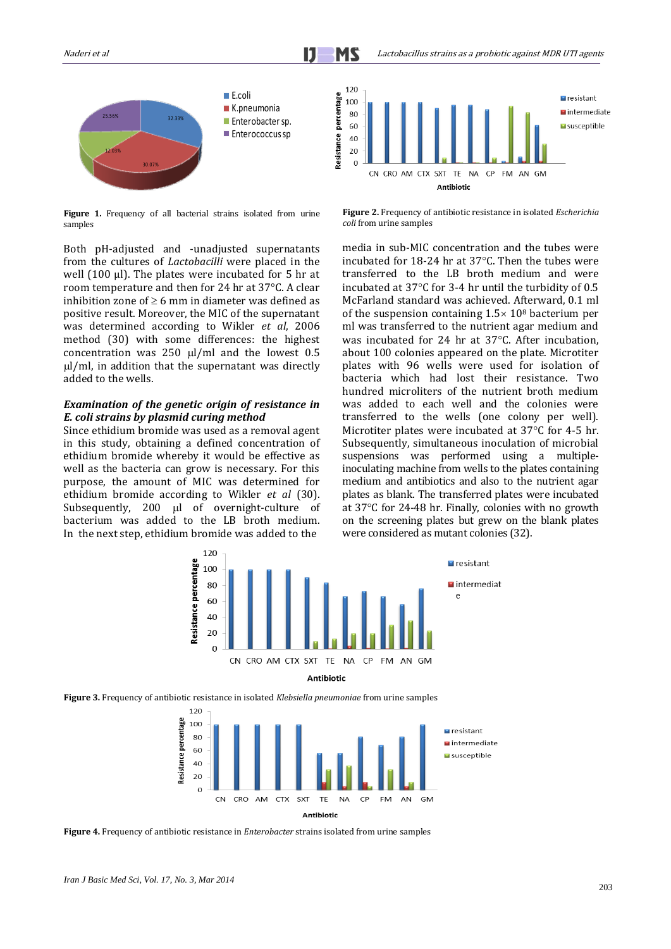

**Figure 1.** Frequency of all bacterial strains isolated from urine samples

Both pH-adjusted and -unadjusted supernatants from the cultures of *Lactobacilli* were placed in the well  $(100 \mu)$ . The plates were incubated for 5 hr at room temperature and then for 24 hr at 37°C. A clear inhibition zone of  $\geq 6$  mm in diameter was defined as positive result. Moreover, the MIC of the supernatant was determined according to Wikler *et al*, 2006 method [\(30\)](#page-7-18) with some differences: the highest concentration was  $250 \mu l/ml$  and the lowest 0.5  $\mu$ /ml, in addition that the supernatant was directly added to the wells.

#### *Examination of the genetic origin of resistance in E. coli strains by plasmid curing method*

Since ethidium bromide was used as a removal agent in this study, obtaining a defined concentration of ethidium bromide whereby it would be effective as well as the bacteria can grow is necessary. For this purpose, the amount of MIC was determined for ethidium bromide according to Wikler *et al* [\(30\)](#page-7-18). Subsequently, 200 µl of overnight-culture of bacterium was added to the LB broth medium. In the next step, ethidium bromide was added to the



**Figure 2.** Frequency of antibiotic resistance in isolated *Escherichia coli* from urine samples

media in sub-MIC concentration and the tubes were incubated for 18-24 hr at  $37^{\circ}$ C. Then the tubes were transferred to the LB broth medium and were incubated at  $37^{\circ}$ C for 3-4 hr until the turbidity of 0.5 McFarland standard was achieved. Afterward, 0.1 ml of the suspension containing  $1.5 \times 10^8$  bacterium per ml was transferred to the nutrient agar medium and was incubated for 24 hr at  $37^{\circ}$ C. After incubation, about 100 colonies appeared on the plate. Microtiter plates with 96 wells were used for isolation of bacteria which had lost their resistance. Two hundred microliters of the nutrient broth medium was added to each well and the colonies were transferred to the wells (one colony per well). Microtiter plates were incubated at  $37^{\circ}$ C for 4-5 hr. Subsequently, simultaneous inoculation of microbial suspensions was performed using a multipleinoculating machine from wells to the plates containing medium and antibiotics and also to the nutrient agar plates as blank. The transferred plates were incubated at  $37^{\circ}$ C for 24-48 hr. Finally, colonies with no growth on the screening plates but grew on the blank plates were considered as mutant colonies [\(32\)](#page-7-20).



**Figure 3.** Frequency of antibiotic resistance in isolated *Klebsiella pneumoniae* from urine samples



**Figure 4.** Frequency of antibiotic resistance in *Enterobacter* strains isolated from urine samples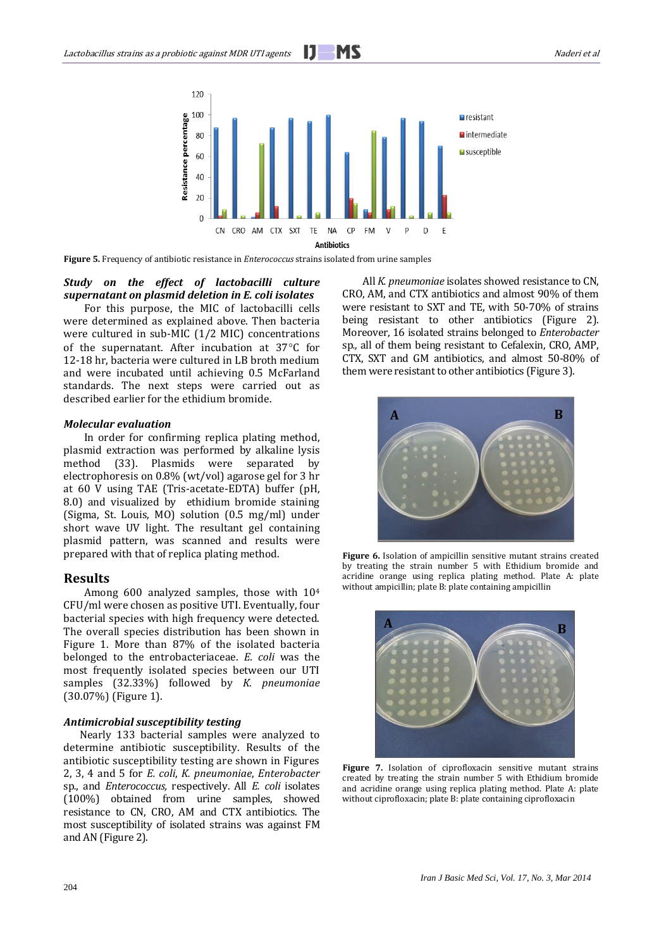

**Figure 5.** Frequency of antibiotic resistance in *Enterococcus* strains isolated from urine samples

## *Study on the effect of lactobacilli culture supernatant on plasmid deletion in E. coli isolates*

For this purpose, the MIC of lactobacilli cells were determined as explained above. Then bacteria were cultured in sub-MIC (1/2 MIC) concentrations of the supernatant. After incubation at  $37^{\circ}$ C for 12-18 hr, bacteria were cultured in LB broth medium and were incubated until achieving 0.5 McFarland standards. The next steps were carried out as described earlier for the ethidium bromide.

## *Molecular evaluation*

In order for confirming replica plating method, plasmid extraction was performed by alkaline lysis method [\(33\)](#page-7-21). Plasmids were separated by electrophoresis on 0.8% (wt/vol) agarose gel for 3 hr at 60 V using TAE (Tris-acetate-EDTA) buffer (pH, 8.0) and visualized by ethidium bromide staining (Sigma, St. Louis, MO) solution (0.5 mg/ml) under short wave UV light. The resultant gel containing plasmid pattern, was scanned and results were prepared with that of replica plating method.

## **Results**

Among 600 analyzed samples, those with 10<sup>4</sup> CFU/ml were chosen as positive UTI. Eventually, four bacterial species with high frequency were detected. The overall species distribution has been shown in Figure 1. More than 87% of the isolated bacteria belonged to the entrobacteriaceae. *E. coli* was the most frequently isolated species between our UTI samples (32.33%) followed by *K. pneumoniae* (30.07%) (Figure 1).

## *Antimicrobial susceptibility testing*

Nearly 133 bacterial samples were analyzed to determine antibiotic susceptibility. Results of the antibiotic susceptibility testing are shown in Figures 2, 3, 4 and 5 for *E. coli*, *K. pneumoniae*, *Enterobacter*  sp*.*, and *Enterococcus,* respectively. All *E. coli* isolates (100%) obtained from urine samples, showed resistance to CN, CRO, AM and CTX antibiotics. The most susceptibility of isolated strains was against FM and AN (Figure 2).

All *K. pneumoniae* isolates showed resistance to CN, CRO, AM, and CTX antibiotics and almost 90% of them were resistant to SXT and TE, with 50-70% of strains being resistant to other antibiotics (Figure 2). Moreover, 16 isolated strains belonged to *Enterobacter*  sp*.,* all of them being resistant to Cefalexin, CRO, AMP, CTX, SXT and GM antibiotics, and almost 50-80% of them were resistant to other antibiotics (Figure 3).



**Figure 6.** Isolation of ampicillin sensitive mutant strains created by treating the strain number 5 with Ethidium bromide and acridine orange using replica plating method. Plate A: plate without ampicillin; plate B: plate containing ampicillin



**Figure 7.** Isolation of ciprofloxacin sensitive mutant strains created by treating the strain number 5 with Ethidium bromide and acridine orange using replica plating method. Plate A: plate without ciprofloxacin; plate B: plate containing ciprofloxacin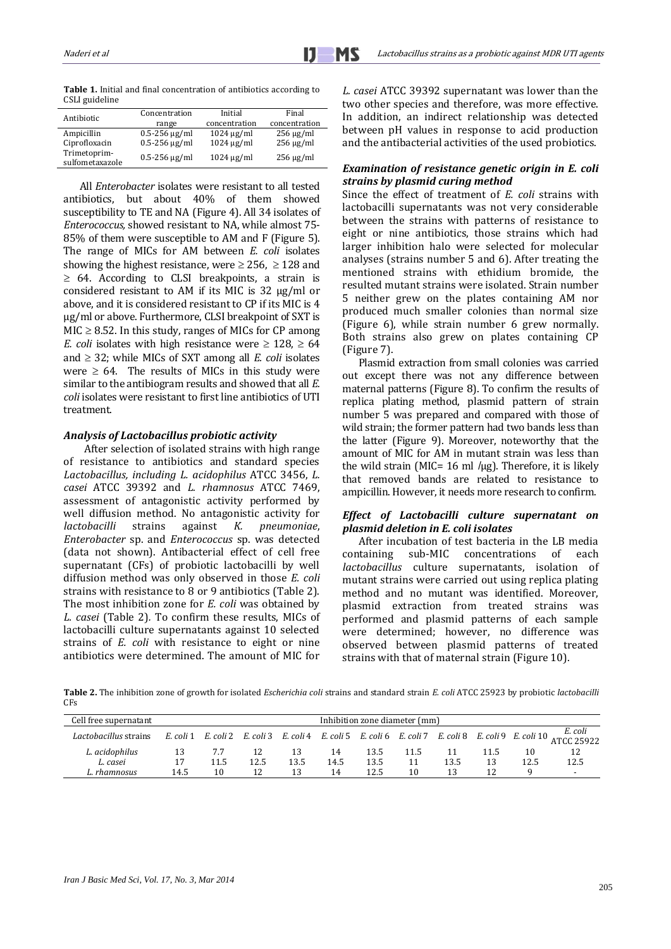**Table 1.** Initial and final concentration of antibiotics according to CSLI guideline

| Antibiotic                      | Concentration        | Initial         | Final          |  |  |
|---------------------------------|----------------------|-----------------|----------------|--|--|
|                                 | range                | concentration   | concentration  |  |  |
| Ampicillin                      | $0.5 - 256 \mu g/ml$ | $1024 \mu g/ml$ | $256 \mu g/ml$ |  |  |
| Ciprofloxacin                   | $0.5 - 256 \mu g/ml$ | $1024 \mu g/ml$ | $256 \mu g/ml$ |  |  |
| Trimetoprim-<br>sulfometaxazole | $0.5 - 256 \mu g/ml$ | $1024 \mu g/ml$ | $256 \mu g/ml$ |  |  |

All *Enterobacter* isolates were resistant to all tested antibiotics, but about 40% of them showed susceptibility to TE and NA (Figure 4). All 34 isolates of *Enterococcus,* showed resistant to NA, while almost 75- 85% of them were susceptible to AM and F (Figure 5). The range of MICs for AM between *E. coli* isolates showing the highest resistance, were  $\geq$  256,  $\geq$  128 and  $\geq$  64. According to CLSI breakpoints, a strain is considered resistant to AM if its MIC is 32 µg/ml or above, and it is considered resistant to CP if its MIC is 4 µg/ml or above. Furthermore, CLSI breakpoint of SXT is  $MIC \geq 8.52$ . In this study, ranges of MICs for CP among *E. coli* isolates with high resistance were  $\geq 128$ ,  $\geq 64$ and  $\geq$  32; while MICs of SXT among all *E. coli* isolates were  $\geq 64$ . The results of MICs in this study were similar to the antibiogram results and showed that all *E. coli* isolates were resistant to first line antibiotics of UTI treatment.

#### *Analysis of Lactobacillus probiotic activity*

After selection of isolated strains with high range of resistance to antibiotics and standard species *Lactobacillus, including L. acidophilus* ATCC 3456, *L. casei* ATCC 39392 and *L. rhamnosus* ATCC 7469, assessment of antagonistic activity performed by well diffusion method. No antagonistic activity for<br>*lactobacilli* strains against *K*. *pneumoniae*. *lactobacilli* strains against *K. pneumoniae*, *Enterobacter* sp. and *Enterococcus* sp. was detected (data not shown). Antibacterial effect of cell free supernatant (CFs) of probiotic lactobacilli by well diffusion method was only observed in those *E. coli*  strains with resistance to 8 or 9 antibiotics (Table 2). The most inhibition zone for *E. coli* was obtained by *L. casei* (Table 2)*.* To confirm these results, MICs of lactobacilli culture supernatants against 10 selected strains of *E. coli* with resistance to eight or nine antibiotics were determined. The amount of MIC for *L. casei* ATCC 39392 supernatant was lower than the two other species and therefore, was more effective. In addition, an indirect relationship was detected between pH values in response to acid production and the antibacterial activities of the used probiotics.

## *Examination of resistance genetic origin in E. coli strains by plasmid curing method*

Since the effect of treatment of *E. coli* strains with lactobacilli supernatants was not very considerable between the strains with patterns of resistance to eight or nine antibiotics, those strains which had larger inhibition halo were selected for molecular analyses (strains number 5 and 6). After treating the mentioned strains with ethidium bromide, the resulted mutant strains were isolated. Strain number 5 neither grew on the plates containing AM nor produced much smaller colonies than normal size (Figure 6), while strain number 6 grew normally. Both strains also grew on plates containing CP (Figure 7).

Plasmid extraction from small colonies was carried out except there was not any difference between maternal patterns (Figure 8). To confirm the results of replica plating method, plasmid pattern of strain number 5 was prepared and compared with those of wild strain; the former pattern had two bands less than the latter (Figure 9). Moreover, noteworthy that the amount of MIC for AM in mutant strain was less than the wild strain (MIC=  $16$  ml /µg). Therefore, it is likely that removed bands are related to resistance to ampicillin. However, it needs more research to confirm.

## *Effect of Lactobacilli culture supernatant on plasmid deletion in E. coli isolates*

After incubation of test bacteria in the LB media containing sub-MIC concentrations of each *lactobacillus* culture supernatants, isolation of mutant strains were carried out using replica plating method and no mutant was identified. Moreover, plasmid extraction from treated strains was performed and plasmid patterns of each sample were determined; however, no difference was observed between plasmid patterns of treated strains with that of maternal strain (Figure 10).

**Table 2.** The inhibition zone of growth for isolated *Escherichia coli* strains and standard strain *E. coli* ATCC 25923 by probiotic *lactobacilli* C<sub>Fs</sub>

| Cell free supernatant | Inhibition zone diameter (mm) |      |      |      |      |      |      |      |      |      |                                                                                                                 |
|-----------------------|-------------------------------|------|------|------|------|------|------|------|------|------|-----------------------------------------------------------------------------------------------------------------|
| Lactobacillus strains |                               |      |      |      |      |      |      |      |      |      | E. coli 1 E. coli 2 E. coli 3 E. coli 4 E. coli 5 E. coli 6 E. coli 7 E. coli 8 E. coli 9 E. coli 10 ATCC 25922 |
| L. acidophilus        |                               |      |      | 13   | 14   | 13.5 | 11.5 |      | 11.5 | 10   | 12                                                                                                              |
| L. casei              | 17                            | 11.5 | 12.5 | 13.5 | 14.5 | 13.5 |      | 13.5 | 13   | 12.5 | 12.5                                                                                                            |
| rhamnosus             | 14.5                          | 10   |      | 13   | 14   | 12.5 | 10   |      |      |      | $\blacksquare$                                                                                                  |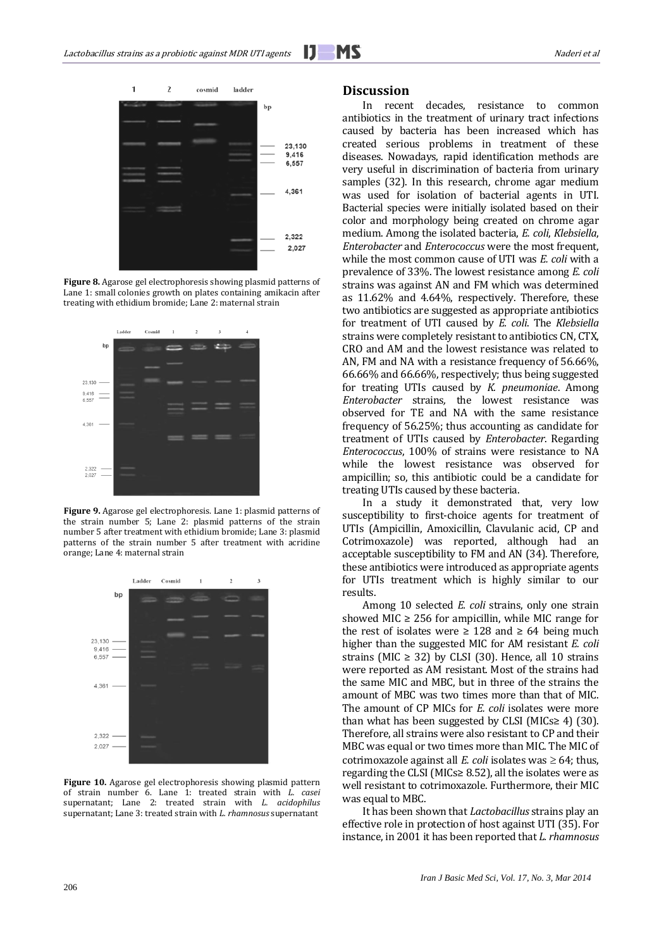

**Figure 8.** Agarose gel electrophoresis showing plasmid patterns of Lane 1: small colonies growth on plates containing amikacin after treating with ethidium bromide; Lane 2: maternal strain



**Figure 9.** Agarose gel electrophoresis. Lane 1: plasmid patterns of the strain number 5; Lane 2: plasmid patterns of the strain number 5 after treatment with ethidium bromide; Lane 3: plasmid patterns of the strain number 5 after treatment with acridine orange; Lane 4: maternal strain



**Figure 10.** Agarose gel electrophoresis showing plasmid pattern of strain number 6. Lane 1: treated strain with *L. casei* supernatant; Lane 2: treated strain with *L. acidophilus* supernatant; Lane 3: treated strain with *L. rhamnosus* supernatant

#### **Discussion**

In recent decades, resistance to common antibiotics in the treatment of urinary tract infections caused by bacteria has been increased which has created serious problems in treatment of these diseases. Nowadays, rapid identification methods are very useful in discrimination of bacteria from urinary samples (32). In this research, chrome agar medium was used for isolation of bacterial agents in UTI. Bacterial species were initially isolated based on their color and morphology being created on chrome agar medium. Among the isolated bacteria, *E. coli*, *Klebsiella*, *Enterobacter* and *Enterococcus* were the most frequent, while the most common cause of UTI was *E. coli* with a prevalence of 33%. The lowest resistance among *E. coli* strains was against AN and FM which was determined as 11.62% and 4.64%, respectively. Therefore, these two antibiotics are suggested as appropriate antibiotics for treatment of UTI caused by *E. coli*. The *Klebsiella* strains were completely resistant to antibiotics CN, CTX, CRO and AM and the lowest resistance was related to AN, FM and NA with a resistance frequency of 56.66%, 66.66% and 66.66%, respectively; thus being suggested for treating UTIs caused by *K. pneumoniae*. Among *Enterobacter* strains*,* the lowest resistance was observed for TE and NA with the same resistance frequency of 56.25%; thus accounting as candidate for treatment of UTIs caused by *Enterobacter*. Regarding *Enterococcus*, 100% of strains were resistance to NA while the lowest resistance was observed for ampicillin; so, this antibiotic could be a candidate for treating UTIs caused by these bacteria.

In a study it demonstrated that, very low susceptibility to first-choice agents for treatment of UTIs (Ampicillin, Amoxicillin, Clavulanic acid, CP and Cotrimoxazole) was reported, although had an acceptable susceptibility to FM and AN [\(34\)](#page-7-22). Therefore, these antibiotics were introduced as appropriate agents for UTIs treatment which is highly similar to our results.

Among 10 selected *E. coli* strains, only one strain showed MIC  $\geq$  256 for ampicillin, while MIC range for the rest of isolates were ≥ 128 and ≥ 64 being much higher than the suggested MIC for AM resistant *E. coli* strains (MIC  $\geq$  32) by CLSI [\(30\)](#page-7-18). Hence, all 10 strains were reported as AM resistant. Most of the strains had the same MIC and MBC, but in three of the strains the amount of MBC was two times more than that of MIC. The amount of CP MICs for *E. coli* isolates were more than what has been suggested by CLSI (MICs $\geq$  4) [\(30\)](#page-7-18). Therefore, all strains were also resistant to CP and their MBC was equal or two times more than MIC. The MIC of cotrimoxazole against all *E. coli* isolates was  $\geq 64$ ; thus, regarding the CLSI (MICs≥ 8.52), all the isolates were as well resistant to cotrimoxazole. Furthermore, their MIC was equal to MBC.

It has been shown that *Lactobacillus* strains play an effective role in protection of host against UTI [\(35\)](#page-7-23). For instance, in 2001 it has been reported that *L. rhamnosus*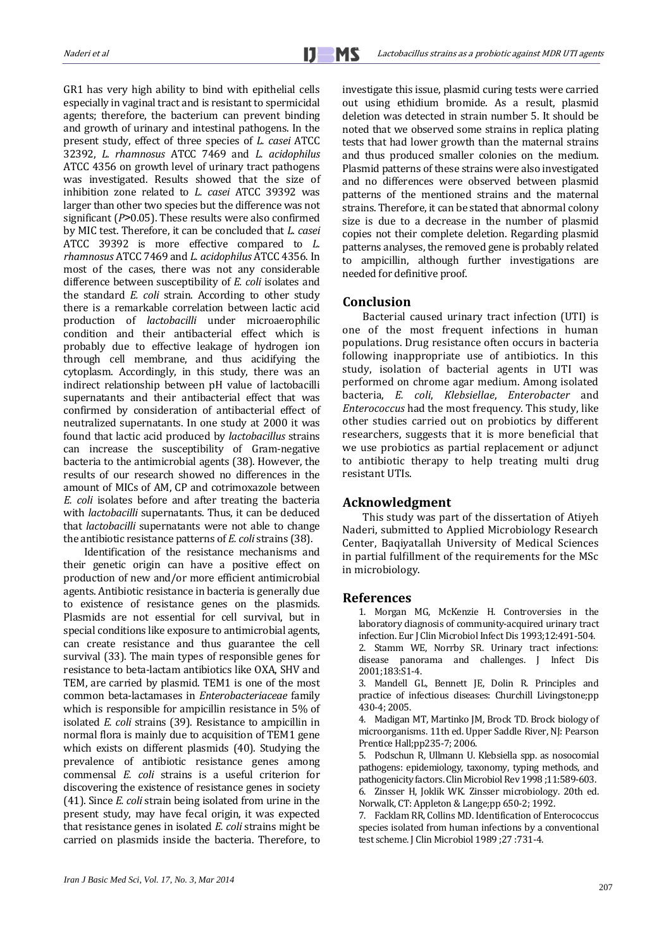GR1 has very high ability to bind with epithelial cells especially in vaginal tract and is resistant to spermicidal agents; therefore, the bacterium can prevent binding and growth of urinary and intestinal pathogens. In the present study, effect of three species of *L. casei* ATCC 32392, *L. rhamnosus* ATCC 7469 and *L. acidophilus* ATCC 4356 on growth level of urinary tract pathogens was investigated. Results showed that the size of inhibition zone related to *L. casei* ATCC 39392 was larger than other two species but the difference was not significant ( $P > 0.05$ ). These results were also confirmed by MIC test. Therefore, it can be concluded that *L. casei* ATCC 39392 is more effective compared to *L. rhamnosus* ATCC 7469 and *L. acidophilus* ATCC 4356. In most of the cases, there was not any considerable difference between susceptibility of *E. coli* isolates and the standard *E. coli* strain. According to other study there is a remarkable correlation between lactic acid production of *lactobacilli* under microaerophilic condition and their antibacterial effect which is probably due to effective leakage of hydrogen ion through cell membrane, and thus acidifying the cytoplasm. Accordingly, in this study, there was an indirect relationship between pH value of lactobacilli supernatants and their antibacterial effect that was confirmed by consideration of antibacterial effect of neutralized supernatants. In one study at 2000 it was found that lactic acid produced by *lactobacillus* strains can increase the susceptibility of Gram-negative bacteria to the antimicrobial agents (38). However, the results of our research showed no differences in the amount of MICs of AM, CP and cotrimoxazole between *E. coli* isolates before and after treating the bacteria with *lactobacilli* supernatants. Thus, it can be deduced that *lactobacilli* supernatants were not able to change the antibiotic resistance patterns of *E. coli* strains [\(38\)](#page-7-24).

Identification of the resistance mechanisms and their genetic origin can have a positive effect on production of new and/or more efficient antimicrobial agents. Antibiotic resistance in bacteria is generally due to existence of resistance genes on the plasmids. Plasmids are not essential for cell survival, but in special conditions like exposure to antimicrobial agents, can create resistance and thus guarantee the cell survival [\(33\)](#page-7-21). The main types of responsible genes for resistance to beta-lactam antibiotics like OXA, SHV and TEM, are carried by plasmid. TEM1 is one of the most common beta-lactamases in *Enterobacteriaceae* family which is responsible for ampicillin resistance in 5% of isolated *E. coli* strains [\(39\)](#page-7-25). Resistance to ampicillin in normal flora is mainly due to acquisition of TEM1 gene which exists on different plasmids [\(40\)](#page-7-26). Studying the prevalence of antibiotic resistance genes among commensal *E. coli* strains is a useful criterion for discovering the existence of resistance genes in society [\(41\)](#page-7-27). Since *E. coli* strain being isolated from urine in the present study, may have fecal origin, it was expected that resistance genes in isolated *E. coli* strains might be carried on plasmids inside the bacteria. Therefore, to investigate this issue, plasmid curing tests were carried out using ethidium bromide. As a result, plasmid deletion was detected in strain number 5. It should be noted that we observed some strains in replica plating tests that had lower growth than the maternal strains and thus produced smaller colonies on the medium. Plasmid patterns of these strains were also investigated and no differences were observed between plasmid patterns of the mentioned strains and the maternal strains. Therefore, it can be stated that abnormal colony size is due to a decrease in the number of plasmid copies not their complete deletion. Regarding plasmid patterns analyses, the removed gene is probably related to ampicillin, although further investigations are needed for definitive proof.

## **Conclusion**

Bacterial caused urinary tract infection (UTI) is one of the most frequent infections in human populations. Drug resistance often occurs in bacteria following inappropriate use of antibiotics. In this study, isolation of bacterial agents in UTI was performed on chrome agar medium. Among isolated bacteria, *E. coli*, *Klebsiellae*, *Enterobacter* and *Enterococcus* had the most frequency. This study, like other studies carried out on probiotics by different researchers, suggests that it is more beneficial that we use probiotics as partial replacement or adjunct to antibiotic therapy to help treating multi drug resistant UTIs.

#### **Acknowledgment**

This study was part of the dissertation of Atiyeh Naderi, submitted to Applied Microbiology Research Center, Baqiyatallah University of Medical Sciences in partial fulfillment of the requirements for the MSc in microbiology.

## <span id="page-6-0"></span>**References**

1. Morgan MG, McKenzie H. Controversies in the laboratory diagnosis of community-acquired urinary tract infection. Eur J Clin Microbiol Infect Dis 1993;12:491-504. 2. Stamm WE, Norrby SR. Urinary tract infections: disease panorama and challenges. J Infect Dis 2001;183:S1-4.

<span id="page-6-2"></span><span id="page-6-1"></span>3. Mandell GL, Bennett JE, Dolin R. Principles and practice of infectious diseases: Churchill Livingstone;pp 430-4; 2005.

<span id="page-6-3"></span>4. Madigan MT, Martinko JM, Brock TD. Brock biology of microorganisms. 11th ed. Upper Saddle River, NJ: Pearson Prentice Hall;pp235-7; 2006.

<span id="page-6-4"></span>5. Podschun R, Ullmann U. Klebsiella spp. as nosocomial pathogens: epidemiology, taxonomy, typing methods, and pathogenicity factors. Clin Microbiol Rev 1998 ;11:589-603.

<span id="page-6-5"></span>6. Zinsser H, Joklik WK. Zinsser microbiology. 20th ed. Norwalk, CT: Appleton & Lange;pp 650-2; 1992.

<span id="page-6-6"></span>7. Facklam RR, Collins MD. Identification of Enterococcus species isolated from human infections by a conventional test scheme. J Clin Microbiol 1989 ;27 :731-4.